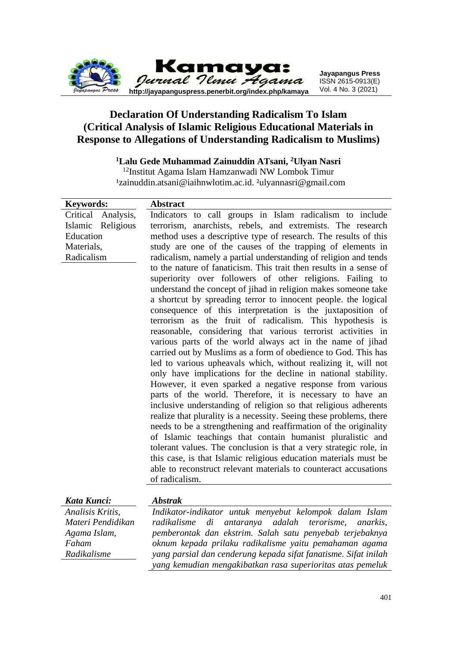

## **Declaration Of Understanding Radicalism To Islam (Critical Analysis of Islamic Religious Educational Materials in Response to Allegations of Understanding Radicalism to Muslims)**

### **<sup>1</sup>Lalu Gede Muhammad Zainuddin ATsani, <sup>2</sup>Ulyan Nasri**

<sup>12</sup>Institut Agama Islam Hamzanwadi NW Lombok Timur <sup>1</sup>zainuddin.atsani@iaihnwlotim.ac.id. <sup>2</sup>ulyannasri@gmail.com

| <b>Keywords:</b>   | <b>Abstract</b>                                                           |
|--------------------|---------------------------------------------------------------------------|
| Critical Analysis, | Indicators to call groups in Islam radicalism to include                  |
| Islamic Religious  | terrorism, anarchists, rebels, and extremists. The research               |
| Education          | method uses a descriptive type of research. The results of this           |
| Materials,         | study are one of the causes of the trapping of elements in                |
| Radicalism         | radicalism, namely a partial understanding of religion and tends          |
|                    | to the nature of fanaticism. This trait then results in a sense of        |
|                    | superiority over followers of other religions. Failing to                 |
|                    | understand the concept of jihad in religion makes someone take            |
|                    | a shortcut by spreading terror to innocent people. the logical            |
|                    | consequence of this interpretation is the juxtaposition of                |
|                    | terrorism as the fruit of radicalism. This hypothesis is                  |
|                    | reasonable, considering that various terrorist activities in              |
|                    | various parts of the world always act in the name of jihad                |
|                    | carried out by Muslims as a form of obedience to God. This has            |
|                    | led to various upheavals which, without realizing it, will not            |
|                    | only have implications for the decline in national stability.             |
|                    | However, it even sparked a negative response from various                 |
|                    | parts of the world. Therefore, it is necessary to have an                 |
|                    | inclusive understanding of religion so that religious adherents           |
|                    | realize that plurality is a necessity. Seeing these problems, there       |
|                    | needs to be a strengthening and reaffirmation of the originality          |
|                    | of Islamic teachings that contain humanist pluralistic and                |
|                    | tolerant values. The conclusion is that a very strategic role, in         |
|                    | this case, is that Islamic religious education materials must be          |
|                    | able to reconstruct relevant materials to counteract accusations          |
|                    | of radicalism.                                                            |
| Kata Kunci:        | <b>Abstrak</b>                                                            |
| Analisis Kritis,   | Indikator-indikator untuk menyebut kelompok dalam Islam                   |
| Materi Pendidikan  | adalah<br>terorisme,<br>radikalisme<br>di<br>antaranya<br><i>anarkis,</i> |
| Agama Islam,       | pemberontak dan ekstrim. Salah satu penyebab terjebaknya                  |
| Faham              | oknum kepada prilaku radikalisme yaitu pemahaman agama                    |

*Radikalisme*

*oknum kepada prilaku radikalisme yaitu pemahaman agama yang parsial dan cenderung kepada sifat fanatisme. Sifat inilah yang kemudian mengakibatkan rasa superioritas atas pemeluk*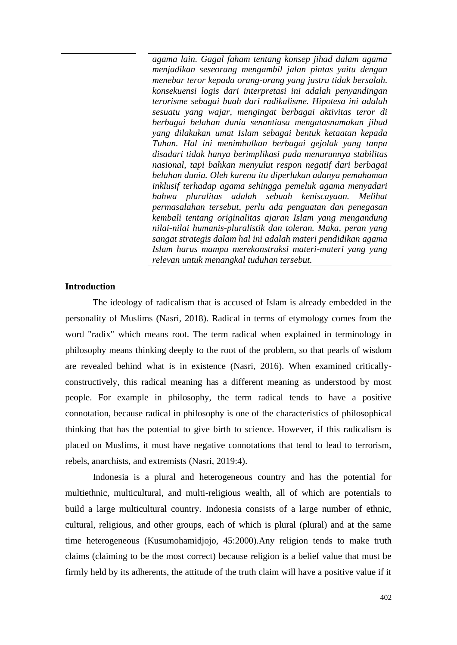*agama lain. Gagal faham tentang konsep jihad dalam agama menjadikan seseorang mengambil jalan pintas yaitu dengan menebar teror kepada orang-orang yang justru tidak bersalah. konsekuensi logis dari interpretasi ini adalah penyandingan terorisme sebagai buah dari radikalisme. Hipotesa ini adalah sesuatu yang wajar, mengingat berbagai aktivitas teror di berbagai belahan dunia senantiasa mengatasnamakan jihad yang dilakukan umat Islam sebagai bentuk ketaatan kepada Tuhan. Hal ini menimbulkan berbagai gejolak yang tanpa disadari tidak hanya berimplikasi pada menurunnya stabilitas nasional, tapi bahkan menyulut respon negatif dari berbagai belahan dunia. Oleh karena itu diperlukan adanya pemahaman inklusif terhadap agama sehingga pemeluk agama menyadari bahwa pluralitas adalah sebuah keniscayaan. Melihat permasalahan tersebut, perlu ada penguatan dan penegasan kembali tentang originalitas ajaran Islam yang mengandung nilai-nilai humanis-pluralistik dan toleran. Maka, peran yang sangat strategis dalam hal ini adalah materi pendidikan agama Islam harus mampu merekonstruksi materi-materi yang yang relevan untuk menangkal tuduhan tersebut.*

### **Introduction**

The ideology of radicalism that is accused of Islam is already embedded in the personality of Muslims (Nasri, 2018). Radical in terms of etymology comes from the word "radix" which means root. The term radical when explained in terminology in philosophy means thinking deeply to the root of the problem, so that pearls of wisdom are revealed behind what is in existence (Nasri, 2016). When examined criticallyconstructively, this radical meaning has a different meaning as understood by most people. For example in philosophy, the term radical tends to have a positive connotation, because radical in philosophy is one of the characteristics of philosophical thinking that has the potential to give birth to science. However, if this radicalism is placed on Muslims, it must have negative connotations that tend to lead to terrorism, rebels, anarchists, and extremists (Nasri, 2019:4).

Indonesia is a plural and heterogeneous country and has the potential for multiethnic, multicultural, and multi-religious wealth, all of which are potentials to build a large multicultural country. Indonesia consists of a large number of ethnic, cultural, religious, and other groups, each of which is plural (plural) and at the same time heterogeneous (Kusumohamidjojo, 45:2000).Any religion tends to make truth claims (claiming to be the most correct) because religion is a belief value that must be firmly held by its adherents, the attitude of the truth claim will have a positive value if it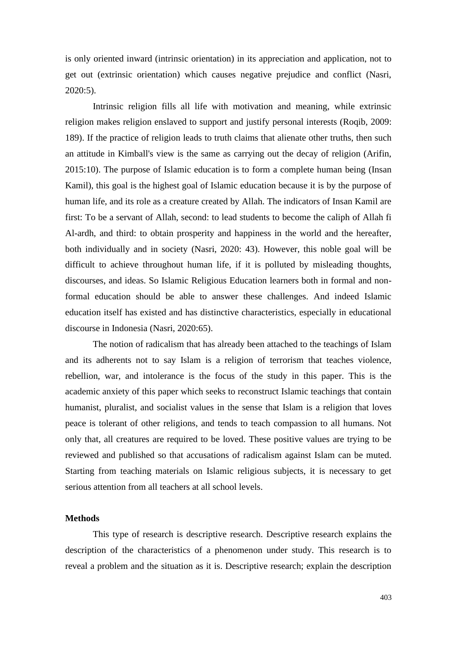is only oriented inward (intrinsic orientation) in its appreciation and application, not to get out (extrinsic orientation) which causes negative prejudice and conflict (Nasri, 2020:5).

Intrinsic religion fills all life with motivation and meaning, while extrinsic religion makes religion enslaved to support and justify personal interests (Roqib, 2009: 189). If the practice of religion leads to truth claims that alienate other truths, then such an attitude in Kimball's view is the same as carrying out the decay of religion (Arifin, 2015:10). The purpose of Islamic education is to form a complete human being (Insan Kamil), this goal is the highest goal of Islamic education because it is by the purpose of human life, and its role as a creature created by Allah. The indicators of Insan Kamil are first: To be a servant of Allah, second: to lead students to become the caliph of Allah fi Al-ardh, and third: to obtain prosperity and happiness in the world and the hereafter, both individually and in society (Nasri, 2020: 43). However, this noble goal will be difficult to achieve throughout human life, if it is polluted by misleading thoughts, discourses, and ideas. So Islamic Religious Education learners both in formal and nonformal education should be able to answer these challenges. And indeed Islamic education itself has existed and has distinctive characteristics, especially in educational discourse in Indonesia (Nasri, 2020:65).

The notion of radicalism that has already been attached to the teachings of Islam and its adherents not to say Islam is a religion of terrorism that teaches violence, rebellion, war, and intolerance is the focus of the study in this paper. This is the academic anxiety of this paper which seeks to reconstruct Islamic teachings that contain humanist, pluralist, and socialist values in the sense that Islam is a religion that loves peace is tolerant of other religions, and tends to teach compassion to all humans. Not only that, all creatures are required to be loved. These positive values are trying to be reviewed and published so that accusations of radicalism against Islam can be muted. Starting from teaching materials on Islamic religious subjects, it is necessary to get serious attention from all teachers at all school levels.

### **Methods**

This type of research is descriptive research. Descriptive research explains the description of the characteristics of a phenomenon under study. This research is to reveal a problem and the situation as it is. Descriptive research; explain the description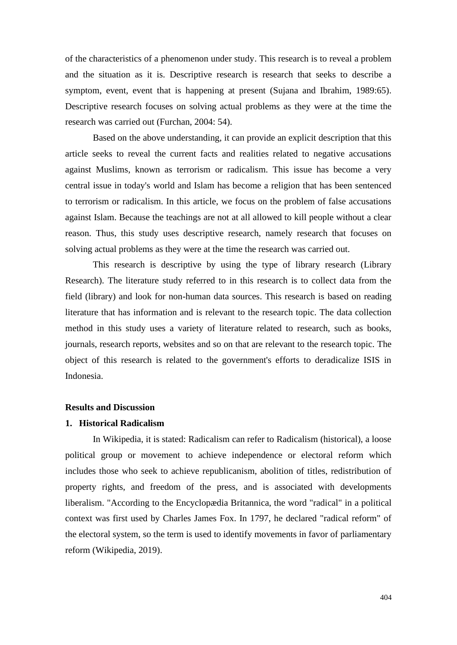of the characteristics of a phenomenon under study. This research is to reveal a problem and the situation as it is. Descriptive research is research that seeks to describe a symptom, event, event that is happening at present (Sujana and Ibrahim, 1989:65). Descriptive research focuses on solving actual problems as they were at the time the research was carried out (Furchan, 2004: 54).

Based on the above understanding, it can provide an explicit description that this article seeks to reveal the current facts and realities related to negative accusations against Muslims, known as terrorism or radicalism. This issue has become a very central issue in today's world and Islam has become a religion that has been sentenced to terrorism or radicalism. In this article, we focus on the problem of false accusations against Islam. Because the teachings are not at all allowed to kill people without a clear reason. Thus, this study uses descriptive research, namely research that focuses on solving actual problems as they were at the time the research was carried out.

This research is descriptive by using the type of library research (Library Research). The literature study referred to in this research is to collect data from the field (library) and look for non-human data sources. This research is based on reading literature that has information and is relevant to the research topic. The data collection method in this study uses a variety of literature related to research, such as books, journals, research reports, websites and so on that are relevant to the research topic. The object of this research is related to the government's efforts to deradicalize ISIS in Indonesia.

### **Results and Discussion**

### **1. Historical Radicalism**

In Wikipedia, it is stated: Radicalism can refer to Radicalism (historical), a loose political group or movement to achieve independence or electoral reform which includes those who seek to achieve republicanism, abolition of titles, redistribution of property rights, and freedom of the press, and is associated with developments liberalism. "According to the Encyclopædia Britannica, the word "radical" in a political context was first used by Charles James Fox. In 1797, he declared "radical reform" of the electoral system, so the term is used to identify movements in favor of parliamentary reform (Wikipedia, 2019).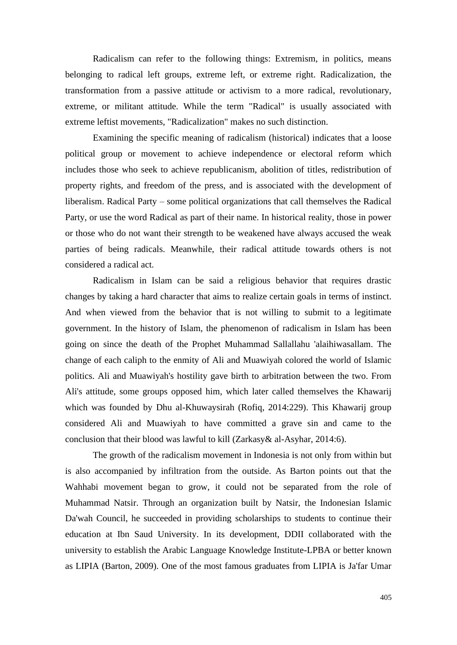Radicalism can refer to the following things: Extremism, in politics, means belonging to radical left groups, extreme left, or extreme right. Radicalization, the transformation from a passive attitude or activism to a more radical, revolutionary, extreme, or militant attitude. While the term "Radical" is usually associated with extreme leftist movements, "Radicalization" makes no such distinction.

Examining the specific meaning of radicalism (historical) indicates that a loose political group or movement to achieve independence or electoral reform which includes those who seek to achieve republicanism, abolition of titles, redistribution of property rights, and freedom of the press, and is associated with the development of liberalism. Radical Party – some political organizations that call themselves the Radical Party, or use the word Radical as part of their name. In historical reality, those in power or those who do not want their strength to be weakened have always accused the weak parties of being radicals. Meanwhile, their radical attitude towards others is not considered a radical act.

Radicalism in Islam can be said a religious behavior that requires drastic changes by taking a hard character that aims to realize certain goals in terms of instinct. And when viewed from the behavior that is not willing to submit to a legitimate government. In the history of Islam, the phenomenon of radicalism in Islam has been going on since the death of the Prophet Muhammad Sallallahu 'alaihiwasallam. The change of each caliph to the enmity of Ali and Muawiyah colored the world of Islamic politics. Ali and Muawiyah's hostility gave birth to arbitration between the two. From Ali's attitude, some groups opposed him, which later called themselves the Khawarij which was founded by Dhu al-Khuwaysirah (Rofiq, 2014:229). This Khawarij group considered Ali and Muawiyah to have committed a grave sin and came to the conclusion that their blood was lawful to kill (Zarkasy& al-Asyhar, 2014:6).

The growth of the radicalism movement in Indonesia is not only from within but is also accompanied by infiltration from the outside. As Barton points out that the Wahhabi movement began to grow, it could not be separated from the role of Muhammad Natsir. Through an organization built by Natsir, the Indonesian Islamic Da'wah Council, he succeeded in providing scholarships to students to continue their education at Ibn Saud University. In its development, DDII collaborated with the university to establish the Arabic Language Knowledge Institute-LPBA or better known as LIPIA (Barton, 2009). One of the most famous graduates from LIPIA is Ja'far Umar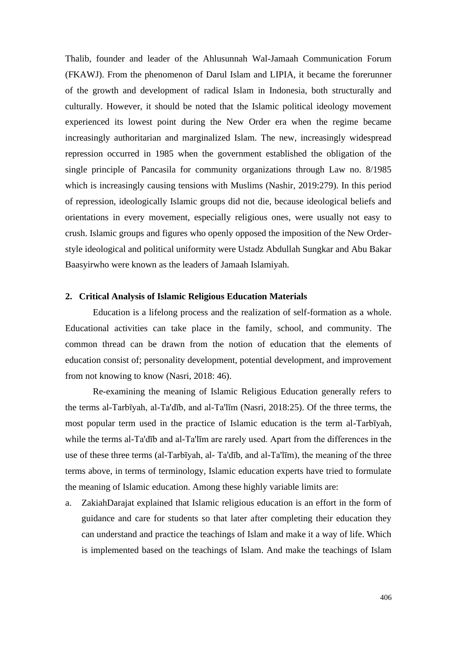Thalib, founder and leader of the Ahlusunnah Wal-Jamaah Communication Forum (FKAWJ). From the phenomenon of Darul Islam and LIPIA, it became the forerunner of the growth and development of radical Islam in Indonesia, both structurally and culturally. However, it should be noted that the Islamic political ideology movement experienced its lowest point during the New Order era when the regime became increasingly authoritarian and marginalized Islam. The new, increasingly widespread repression occurred in 1985 when the government established the obligation of the single principle of Pancasila for community organizations through Law no. 8/1985 which is increasingly causing tensions with Muslims (Nashir, 2019:279). In this period of repression, ideologically Islamic groups did not die, because ideological beliefs and orientations in every movement, especially religious ones, were usually not easy to crush. Islamic groups and figures who openly opposed the imposition of the New Orderstyle ideological and political uniformity were Ustadz Abdullah Sungkar and Abu Bakar Baasyirwho were known as the leaders of Jamaah Islamiyah.

### **2. Critical Analysis of Islamic Religious Education Materials**

Education is a lifelong process and the realization of self-formation as a whole. Educational activities can take place in the family, school, and community. The common thread can be drawn from the notion of education that the elements of education consist of; personality development, potential development, and improvement from not knowing to know (Nasri, 2018: 46).

Re-examining the meaning of Islamic Religious Education generally refers to the terms al-Tarbīyah, al-Ta'dīb, and al-Ta'līm (Nasri, 2018:25). Of the three terms, the most popular term used in the practice of Islamic education is the term al-Tarbīyah, while the terms al-Ta'dīb and al-Ta'līm are rarely used. Apart from the differences in the use of these three terms (al-Tarbīyah, al- Ta'dīb, and al-Ta'līm), the meaning of the three terms above, in terms of terminology, Islamic education experts have tried to formulate the meaning of Islamic education. Among these highly variable limits are:

a. ZakiahDarajat explained that Islamic religious education is an effort in the form of guidance and care for students so that later after completing their education they can understand and practice the teachings of Islam and make it a way of life. Which is implemented based on the teachings of Islam. And make the teachings of Islam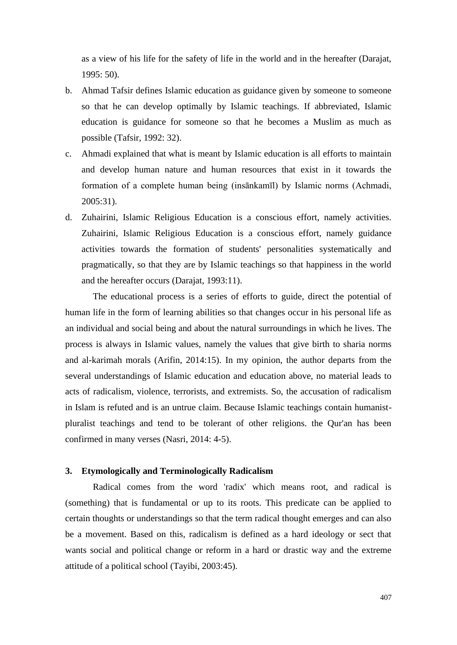as a view of his life for the safety of life in the world and in the hereafter (Darajat, 1995: 50).

- b. Ahmad Tafsir defines Islamic education as guidance given by someone to someone so that he can develop optimally by Islamic teachings. If abbreviated, Islamic education is guidance for someone so that he becomes a Muslim as much as possible (Tafsir, 1992: 32).
- c. Ahmadi explained that what is meant by Islamic education is all efforts to maintain and develop human nature and human resources that exist in it towards the formation of a complete human being (insānkamīl) by Islamic norms (Achmadi, 2005:31).
- d. Zuhairini, Islamic Religious Education is a conscious effort, namely activities. Zuhairini, Islamic Religious Education is a conscious effort, namely guidance activities towards the formation of students' personalities systematically and pragmatically, so that they are by Islamic teachings so that happiness in the world and the hereafter occurs (Darajat, 1993:11).

The educational process is a series of efforts to guide, direct the potential of human life in the form of learning abilities so that changes occur in his personal life as an individual and social being and about the natural surroundings in which he lives. The process is always in Islamic values, namely the values that give birth to sharia norms and al-karimah morals (Arifin, 2014:15). In my opinion, the author departs from the several understandings of Islamic education and education above, no material leads to acts of radicalism, violence, terrorists, and extremists. So, the accusation of radicalism in Islam is refuted and is an untrue claim. Because Islamic teachings contain humanistpluralist teachings and tend to be tolerant of other religions. the Qur'an has been confirmed in many verses (Nasri, 2014: 4-5).

### **3. Etymologically and Terminologically Radicalism**

Radical comes from the word 'radix' which means root, and radical is (something) that is fundamental or up to its roots. This predicate can be applied to certain thoughts or understandings so that the term radical thought emerges and can also be a movement. Based on this, radicalism is defined as a hard ideology or sect that wants social and political change or reform in a hard or drastic way and the extreme attitude of a political school (Tayibi, 2003:45).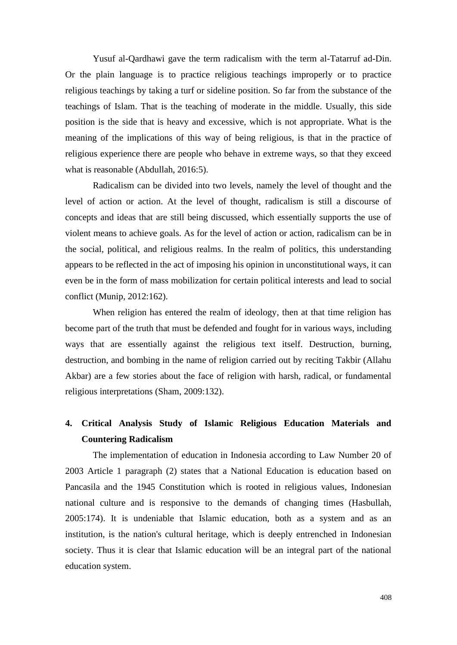Yusuf al-Qardhawi gave the term radicalism with the term al-Tatarruf ad-Din. Or the plain language is to practice religious teachings improperly or to practice religious teachings by taking a turf or sideline position. So far from the substance of the teachings of Islam. That is the teaching of moderate in the middle. Usually, this side position is the side that is heavy and excessive, which is not appropriate. What is the meaning of the implications of this way of being religious, is that in the practice of religious experience there are people who behave in extreme ways, so that they exceed what is reasonable (Abdullah, 2016:5).

Radicalism can be divided into two levels, namely the level of thought and the level of action or action. At the level of thought, radicalism is still a discourse of concepts and ideas that are still being discussed, which essentially supports the use of violent means to achieve goals. As for the level of action or action, radicalism can be in the social, political, and religious realms. In the realm of politics, this understanding appears to be reflected in the act of imposing his opinion in unconstitutional ways, it can even be in the form of mass mobilization for certain political interests and lead to social conflict (Munip, 2012:162).

When religion has entered the realm of ideology, then at that time religion has become part of the truth that must be defended and fought for in various ways, including ways that are essentially against the religious text itself. Destruction, burning, destruction, and bombing in the name of religion carried out by reciting Takbir (Allahu Akbar) are a few stories about the face of religion with harsh, radical, or fundamental religious interpretations (Sham, 2009:132).

# **4. Critical Analysis Study of Islamic Religious Education Materials and Countering Radicalism**

The implementation of education in Indonesia according to Law Number 20 of 2003 Article 1 paragraph (2) states that a National Education is education based on Pancasila and the 1945 Constitution which is rooted in religious values, Indonesian national culture and is responsive to the demands of changing times (Hasbullah, 2005:174). It is undeniable that Islamic education, both as a system and as an institution, is the nation's cultural heritage, which is deeply entrenched in Indonesian society. Thus it is clear that Islamic education will be an integral part of the national education system.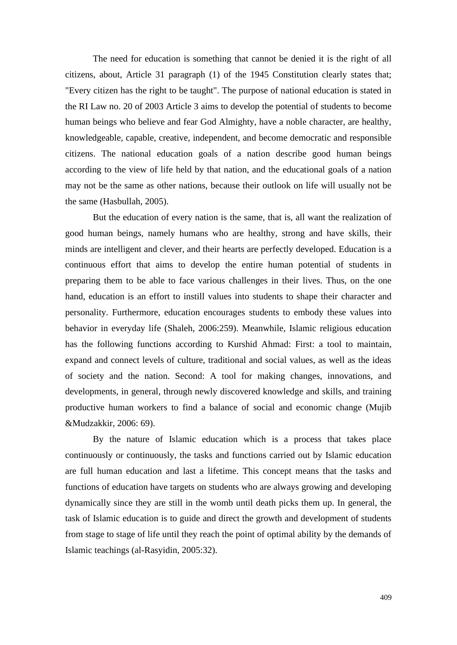The need for education is something that cannot be denied it is the right of all citizens, about, Article 31 paragraph (1) of the 1945 Constitution clearly states that; "Every citizen has the right to be taught". The purpose of national education is stated in the RI Law no. 20 of 2003 Article 3 aims to develop the potential of students to become human beings who believe and fear God Almighty, have a noble character, are healthy, knowledgeable, capable, creative, independent, and become democratic and responsible citizens. The national education goals of a nation describe good human beings according to the view of life held by that nation, and the educational goals of a nation may not be the same as other nations, because their outlook on life will usually not be the same (Hasbullah, 2005).

But the education of every nation is the same, that is, all want the realization of good human beings, namely humans who are healthy, strong and have skills, their minds are intelligent and clever, and their hearts are perfectly developed. Education is a continuous effort that aims to develop the entire human potential of students in preparing them to be able to face various challenges in their lives. Thus, on the one hand, education is an effort to instill values into students to shape their character and personality. Furthermore, education encourages students to embody these values into behavior in everyday life (Shaleh, 2006:259). Meanwhile, Islamic religious education has the following functions according to Kurshid Ahmad: First: a tool to maintain, expand and connect levels of culture, traditional and social values, as well as the ideas of society and the nation. Second: A tool for making changes, innovations, and developments, in general, through newly discovered knowledge and skills, and training productive human workers to find a balance of social and economic change (Mujib &Mudzakkir, 2006: 69).

By the nature of Islamic education which is a process that takes place continuously or continuously, the tasks and functions carried out by Islamic education are full human education and last a lifetime. This concept means that the tasks and functions of education have targets on students who are always growing and developing dynamically since they are still in the womb until death picks them up. In general, the task of Islamic education is to guide and direct the growth and development of students from stage to stage of life until they reach the point of optimal ability by the demands of Islamic teachings (al-Rasyidin, 2005:32).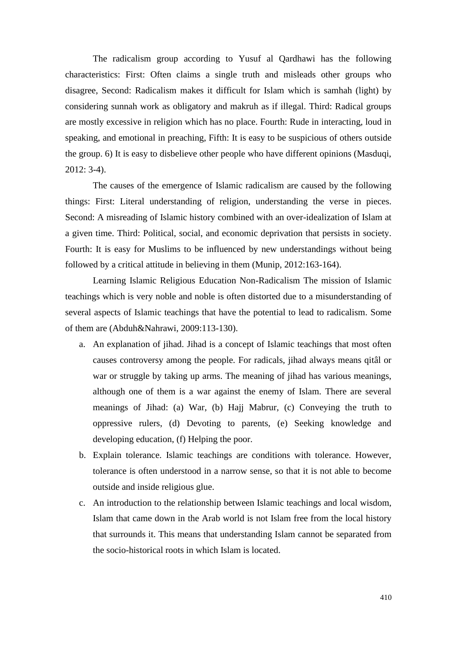The radicalism group according to Yusuf al Qardhawi has the following characteristics: First: Often claims a single truth and misleads other groups who disagree, Second: Radicalism makes it difficult for Islam which is samhah (light) by considering sunnah work as obligatory and makruh as if illegal. Third: Radical groups are mostly excessive in religion which has no place. Fourth: Rude in interacting, loud in speaking, and emotional in preaching, Fifth: It is easy to be suspicious of others outside the group. 6) It is easy to disbelieve other people who have different opinions (Masduqi, 2012: 3-4).

The causes of the emergence of Islamic radicalism are caused by the following things: First: Literal understanding of religion, understanding the verse in pieces. Second: A misreading of Islamic history combined with an over-idealization of Islam at a given time. Third: Political, social, and economic deprivation that persists in society. Fourth: It is easy for Muslims to be influenced by new understandings without being followed by a critical attitude in believing in them (Munip, 2012:163-164).

Learning Islamic Religious Education Non-Radicalism The mission of Islamic teachings which is very noble and noble is often distorted due to a misunderstanding of several aspects of Islamic teachings that have the potential to lead to radicalism. Some of them are (Abduh&Nahrawi, 2009:113-130).

- a. An explanation of jihad. Jihad is a concept of Islamic teachings that most often causes controversy among the people. For radicals, jihad always means qitâl or war or struggle by taking up arms. The meaning of jihad has various meanings, although one of them is a war against the enemy of Islam. There are several meanings of Jihad: (a) War, (b) Hajj Mabrur, (c) Conveying the truth to oppressive rulers, (d) Devoting to parents, (e) Seeking knowledge and developing education, (f) Helping the poor.
- b. Explain tolerance. Islamic teachings are conditions with tolerance. However, tolerance is often understood in a narrow sense, so that it is not able to become outside and inside religious glue.
- c. An introduction to the relationship between Islamic teachings and local wisdom, Islam that came down in the Arab world is not Islam free from the local history that surrounds it. This means that understanding Islam cannot be separated from the socio-historical roots in which Islam is located.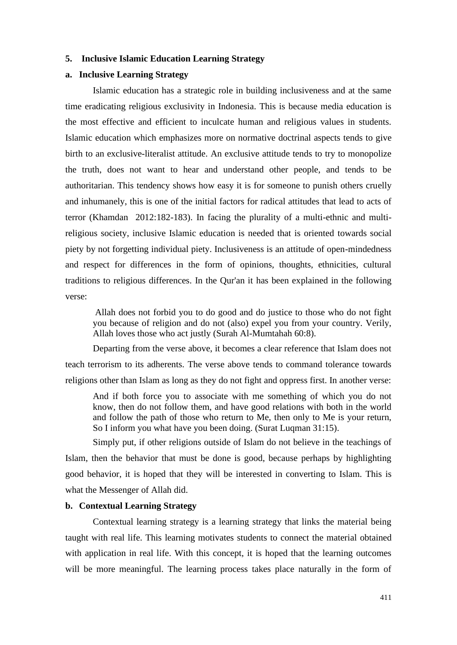### **5. Inclusive Islamic Education Learning Strategy**

### **a. Inclusive Learning Strategy**

Islamic education has a strategic role in building inclusiveness and at the same time eradicating religious exclusivity in Indonesia. This is because media education is the most effective and efficient to inculcate human and religious values in students. Islamic education which emphasizes more on normative doctrinal aspects tends to give birth to an exclusive-literalist attitude. An exclusive attitude tends to try to monopolize the truth, does not want to hear and understand other people, and tends to be authoritarian. This tendency shows how easy it is for someone to punish others cruelly and inhumanely, this is one of the initial factors for radical attitudes that lead to acts of terror (Khamdan 2012:182-183). In facing the plurality of a multi-ethnic and multireligious society, inclusive Islamic education is needed that is oriented towards social piety by not forgetting individual piety. Inclusiveness is an attitude of open-mindedness and respect for differences in the form of opinions, thoughts, ethnicities, cultural traditions to religious differences. In the Qur'an it has been explained in the following verse:

Allah does not forbid you to do good and do justice to those who do not fight you because of religion and do not (also) expel you from your country. Verily, Allah loves those who act justly (Surah Al-Mumtahah 60:8).

Departing from the verse above, it becomes a clear reference that Islam does not teach terrorism to its adherents. The verse above tends to command tolerance towards religions other than Islam as long as they do not fight and oppress first. In another verse:

And if both force you to associate with me something of which you do not know, then do not follow them, and have good relations with both in the world and follow the path of those who return to Me, then only to Me is your return, So I inform you what have you been doing. (Surat Luqman 31:15).

Simply put, if other religions outside of Islam do not believe in the teachings of Islam, then the behavior that must be done is good, because perhaps by highlighting good behavior, it is hoped that they will be interested in converting to Islam. This is what the Messenger of Allah did.

### **b. Contextual Learning Strategy**

Contextual learning strategy is a learning strategy that links the material being taught with real life. This learning motivates students to connect the material obtained with application in real life. With this concept, it is hoped that the learning outcomes will be more meaningful. The learning process takes place naturally in the form of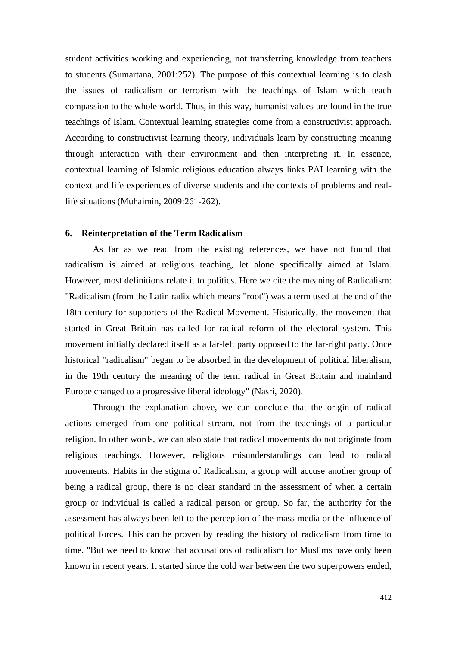student activities working and experiencing, not transferring knowledge from teachers to students (Sumartana, 2001:252). The purpose of this contextual learning is to clash the issues of radicalism or terrorism with the teachings of Islam which teach compassion to the whole world. Thus, in this way, humanist values are found in the true teachings of Islam. Contextual learning strategies come from a constructivist approach. According to constructivist learning theory, individuals learn by constructing meaning through interaction with their environment and then interpreting it. In essence, contextual learning of Islamic religious education always links PAI learning with the context and life experiences of diverse students and the contexts of problems and reallife situations (Muhaimin, 2009:261-262).

#### **6. Reinterpretation of the Term Radicalism**

As far as we read from the existing references, we have not found that radicalism is aimed at religious teaching, let alone specifically aimed at Islam. However, most definitions relate it to politics. Here we cite the meaning of Radicalism: "Radicalism (from the Latin radix which means "root") was a term used at the end of the 18th century for supporters of the Radical Movement. Historically, the movement that started in Great Britain has called for radical reform of the electoral system. This movement initially declared itself as a far-left party opposed to the far-right party. Once historical "radicalism" began to be absorbed in the development of political liberalism, in the 19th century the meaning of the term radical in Great Britain and mainland Europe changed to a progressive liberal ideology" (Nasri, 2020).

Through the explanation above, we can conclude that the origin of radical actions emerged from one political stream, not from the teachings of a particular religion. In other words, we can also state that radical movements do not originate from religious teachings. However, religious misunderstandings can lead to radical movements. Habits in the stigma of Radicalism, a group will accuse another group of being a radical group, there is no clear standard in the assessment of when a certain group or individual is called a radical person or group. So far, the authority for the assessment has always been left to the perception of the mass media or the influence of political forces. This can be proven by reading the history of radicalism from time to time. "But we need to know that accusations of radicalism for Muslims have only been known in recent years. It started since the cold war between the two superpowers ended,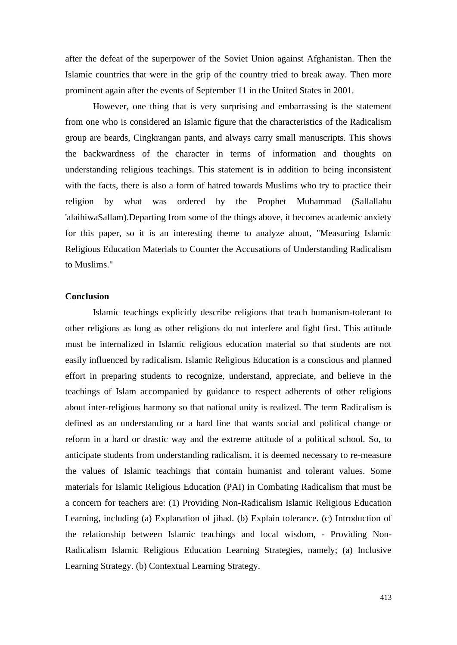after the defeat of the superpower of the Soviet Union against Afghanistan. Then the Islamic countries that were in the grip of the country tried to break away. Then more prominent again after the events of September 11 in the United States in 2001.

However, one thing that is very surprising and embarrassing is the statement from one who is considered an Islamic figure that the characteristics of the Radicalism group are beards, Cingkrangan pants, and always carry small manuscripts. This shows the backwardness of the character in terms of information and thoughts on understanding religious teachings. This statement is in addition to being inconsistent with the facts, there is also a form of hatred towards Muslims who try to practice their religion by what was ordered by the Prophet Muhammad (Sallallahu 'alaihiwaSallam).Departing from some of the things above, it becomes academic anxiety for this paper, so it is an interesting theme to analyze about, "Measuring Islamic Religious Education Materials to Counter the Accusations of Understanding Radicalism to Muslims."

### **Conclusion**

Islamic teachings explicitly describe religions that teach humanism-tolerant to other religions as long as other religions do not interfere and fight first. This attitude must be internalized in Islamic religious education material so that students are not easily influenced by radicalism. Islamic Religious Education is a conscious and planned effort in preparing students to recognize, understand, appreciate, and believe in the teachings of Islam accompanied by guidance to respect adherents of other religions about inter-religious harmony so that national unity is realized. The term Radicalism is defined as an understanding or a hard line that wants social and political change or reform in a hard or drastic way and the extreme attitude of a political school. So, to anticipate students from understanding radicalism, it is deemed necessary to re-measure the values of Islamic teachings that contain humanist and tolerant values. Some materials for Islamic Religious Education (PAI) in Combating Radicalism that must be a concern for teachers are: (1) Providing Non-Radicalism Islamic Religious Education Learning, including (a) Explanation of jihad. (b) Explain tolerance. (c) Introduction of the relationship between Islamic teachings and local wisdom, - Providing Non-Radicalism Islamic Religious Education Learning Strategies, namely; (a) Inclusive Learning Strategy. (b) Contextual Learning Strategy.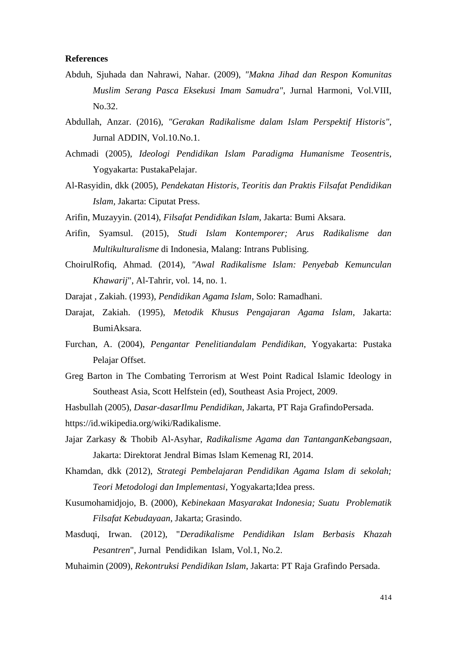### **References**

- Abduh, Sjuhada dan Nahrawi, Nahar. (2009), *"Makna Jihad dan Respon Komunitas Muslim Serang Pasca Eksekusi Imam Samudra"*, Jurnal Harmoni, Vol.VIII, No.32.
- Abdullah, Anzar. (2016), *"Gerakan Radikalisme dalam Islam Perspektif Historis",* Jurnal ADDIN, Vol.10.No.1.
- Achmadi (2005), *Ideologi Pendidikan Islam Paradigma Humanisme Teosentris*, Yogyakarta: PustakaPelajar.
- Al-Rasyidin, dkk (2005), *Pendekatan Historis, Teoritis dan Praktis Filsafat Pendidikan Islam,* Jakarta: Ciputat Press.
- Arifin, Muzayyin. (2014), *Filsafat Pendidikan Islam*, Jakarta: Bumi Aksara.
- Arifin, Syamsul. (2015), *Studi Islam Kontemporer; Arus Radikalisme dan Multikulturalisme* di Indonesia, Malang: Intrans Publising.
- ChoirulRofiq, Ahmad. (2014), *"Awal Radikalisme Islam: Penyebab Kemunculan Khawarij*", Al-Tahrir, vol. 14, no. 1.
- Darajat , Zakiah. (1993), *Pendidikan Agama Islam*, Solo: Ramadhani.
- Darajat, Zakiah. (1995), *Metodik Khusus Pengajaran Agama Islam*, Jakarta: BumiAksara.
- Furchan, A. (2004), *Pengantar Penelitiandalam Pendidikan*, Yogyakarta: Pustaka Pelajar Offset.
- Greg Barton in The Combating Terrorism at West Point Radical Islamic Ideology in Southeast Asia, Scott Helfstein (ed), Southeast Asia Project, 2009.
- Hasbullah (2005), *Dasar-dasarIlmu Pendidikan*, Jakarta, PT Raja GrafindoPersada.
- https://id.wikipedia.org/wiki/Radikalisme.
- Jajar Zarkasy & Thobib Al-Asyhar, *Radikalisme Agama dan TantanganKebangsaan*, Jakarta: Direktorat Jendral Bimas Islam Kemenag RI, 2014.
- Khamdan, dkk (2012), *Strategi Pembelajaran Pendidikan Agama Islam di sekolah; Teori Metodologi dan Implementasi*, Yogyakarta;Idea press.
- Kusumohamidjojo, B. (2000), *Kebinekaan Masyarakat Indonesia; Suatu Problematik Filsafat Kebudayaan*, Jakarta; Grasindo.
- Masduqi, Irwan. (2012), "*Deradikalisme Pendidikan Islam Berbasis Khazah Pesantren*", Jurnal Pendidikan Islam, Vol.1, No.2.
- Muhaimin (2009), *Rekontruksi Pendidikan Islam*, Jakarta: PT Raja Grafindo Persada.